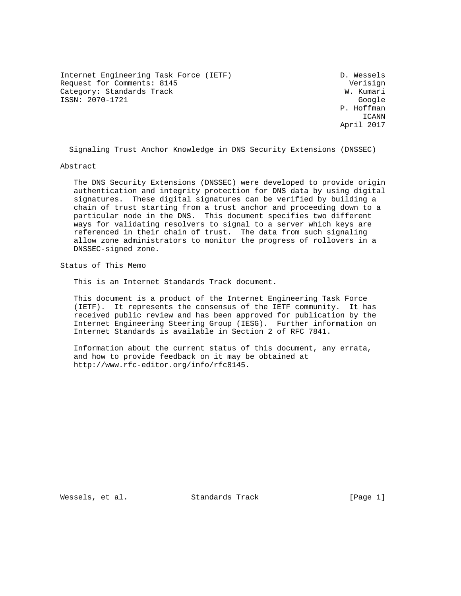Internet Engineering Task Force (IETF) D. Wessels Request for Comments: 8145 Verisign Category: Standards Track W. Kumari ISSN: 2070-1721 Google

 P. Hoffman ICANN April 2017

Signaling Trust Anchor Knowledge in DNS Security Extensions (DNSSEC)

Abstract

 The DNS Security Extensions (DNSSEC) were developed to provide origin authentication and integrity protection for DNS data by using digital signatures. These digital signatures can be verified by building a chain of trust starting from a trust anchor and proceeding down to a particular node in the DNS. This document specifies two different ways for validating resolvers to signal to a server which keys are referenced in their chain of trust. The data from such signaling allow zone administrators to monitor the progress of rollovers in a DNSSEC-signed zone.

Status of This Memo

This is an Internet Standards Track document.

 This document is a product of the Internet Engineering Task Force (IETF). It represents the consensus of the IETF community. It has received public review and has been approved for publication by the Internet Engineering Steering Group (IESG). Further information on Internet Standards is available in Section 2 of RFC 7841.

 Information about the current status of this document, any errata, and how to provide feedback on it may be obtained at http://www.rfc-editor.org/info/rfc8145.

Wessels, et al. Standards Track [Page 1]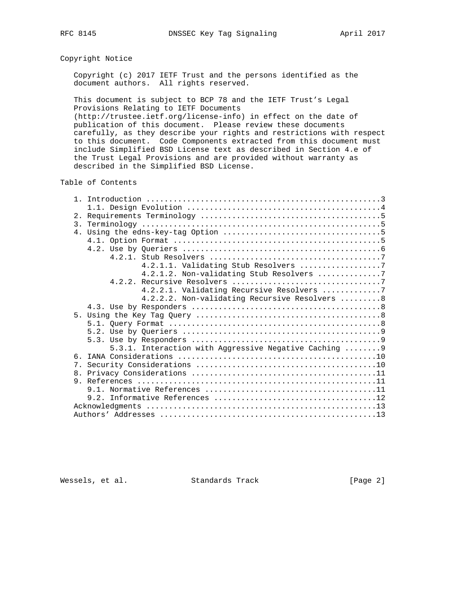# Copyright Notice

 Copyright (c) 2017 IETF Trust and the persons identified as the document authors. All rights reserved.

 This document is subject to BCP 78 and the IETF Trust's Legal Provisions Relating to IETF Documents

 (http://trustee.ietf.org/license-info) in effect on the date of publication of this document. Please review these documents carefully, as they describe your rights and restrictions with respect to this document. Code Components extracted from this document must include Simplified BSD License text as described in Section 4.e of the Trust Legal Provisions and are provided without warranty as described in the Simplified BSD License.

Table of Contents

| 2.               |                                                        |
|------------------|--------------------------------------------------------|
| $\overline{3}$ . |                                                        |
|                  |                                                        |
|                  |                                                        |
|                  |                                                        |
|                  |                                                        |
|                  | 4.2.1.1. Validating Stub Resolvers 7                   |
|                  | 4.2.1.2. Non-validating Stub Resolvers 7               |
|                  |                                                        |
|                  | 4.2.2.1. Validating Recursive Resolvers 7              |
|                  |                                                        |
|                  | 4.2.2.2. Non-validating Recursive Resolvers  8         |
|                  |                                                        |
|                  |                                                        |
|                  |                                                        |
|                  |                                                        |
|                  |                                                        |
|                  | 5.3.1. Interaction with Aggressive Negative Caching  9 |
| რ —              |                                                        |
|                  |                                                        |
|                  |                                                        |
|                  |                                                        |
|                  |                                                        |
|                  |                                                        |
|                  |                                                        |
|                  |                                                        |

Wessels, et al. Standards Track [Page 2]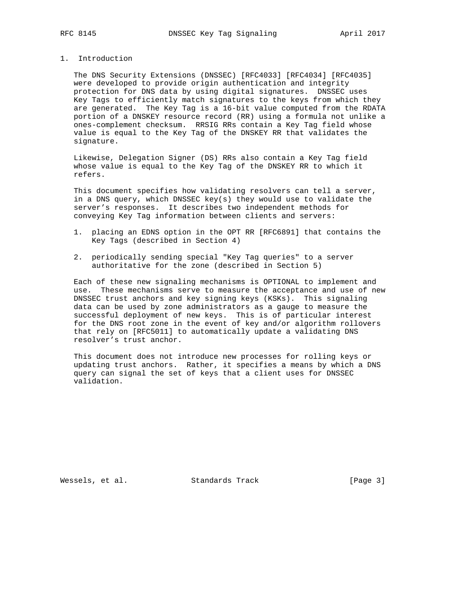# 1. Introduction

 The DNS Security Extensions (DNSSEC) [RFC4033] [RFC4034] [RFC4035] were developed to provide origin authentication and integrity protection for DNS data by using digital signatures. DNSSEC uses Key Tags to efficiently match signatures to the keys from which they are generated. The Key Tag is a 16-bit value computed from the RDATA portion of a DNSKEY resource record (RR) using a formula not unlike a ones-complement checksum. RRSIG RRs contain a Key Tag field whose value is equal to the Key Tag of the DNSKEY RR that validates the signature.

 Likewise, Delegation Signer (DS) RRs also contain a Key Tag field whose value is equal to the Key Tag of the DNSKEY RR to which it refers.

 This document specifies how validating resolvers can tell a server, in a DNS query, which DNSSEC key(s) they would use to validate the server's responses. It describes two independent methods for conveying Key Tag information between clients and servers:

- 1. placing an EDNS option in the OPT RR [RFC6891] that contains the Key Tags (described in Section 4)
- 2. periodically sending special "Key Tag queries" to a server authoritative for the zone (described in Section 5)

 Each of these new signaling mechanisms is OPTIONAL to implement and use. These mechanisms serve to measure the acceptance and use of new DNSSEC trust anchors and key signing keys (KSKs). This signaling data can be used by zone administrators as a gauge to measure the successful deployment of new keys. This is of particular interest for the DNS root zone in the event of key and/or algorithm rollovers that rely on [RFC5011] to automatically update a validating DNS resolver's trust anchor.

 This document does not introduce new processes for rolling keys or updating trust anchors. Rather, it specifies a means by which a DNS query can signal the set of keys that a client uses for DNSSEC validation.

Wessels, et al. Standards Track [Page 3]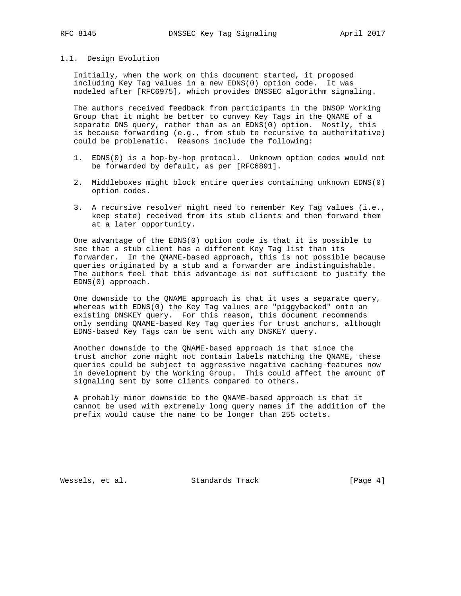# 1.1. Design Evolution

 Initially, when the work on this document started, it proposed including Key Tag values in a new EDNS(0) option code. It was modeled after [RFC6975], which provides DNSSEC algorithm signaling.

 The authors received feedback from participants in the DNSOP Working Group that it might be better to convey Key Tags in the QNAME of a separate DNS query, rather than as an EDNS(0) option. Mostly, this is because forwarding (e.g., from stub to recursive to authoritative) could be problematic. Reasons include the following:

- 1. EDNS(0) is a hop-by-hop protocol. Unknown option codes would not be forwarded by default, as per [RFC6891].
- 2. Middleboxes might block entire queries containing unknown EDNS(0) option codes.
- 3. A recursive resolver might need to remember Key Tag values (i.e., keep state) received from its stub clients and then forward them at a later opportunity.

 One advantage of the EDNS(0) option code is that it is possible to see that a stub client has a different Key Tag list than its forwarder. In the QNAME-based approach, this is not possible because queries originated by a stub and a forwarder are indistinguishable. The authors feel that this advantage is not sufficient to justify the EDNS(0) approach.

 One downside to the QNAME approach is that it uses a separate query, whereas with EDNS(0) the Key Tag values are "piggybacked" onto an existing DNSKEY query. For this reason, this document recommends only sending QNAME-based Key Tag queries for trust anchors, although EDNS-based Key Tags can be sent with any DNSKEY query.

 Another downside to the QNAME-based approach is that since the trust anchor zone might not contain labels matching the QNAME, these queries could be subject to aggressive negative caching features now in development by the Working Group. This could affect the amount of signaling sent by some clients compared to others.

 A probably minor downside to the QNAME-based approach is that it cannot be used with extremely long query names if the addition of the prefix would cause the name to be longer than 255 octets.

Wessels, et al. Standards Track [Page 4]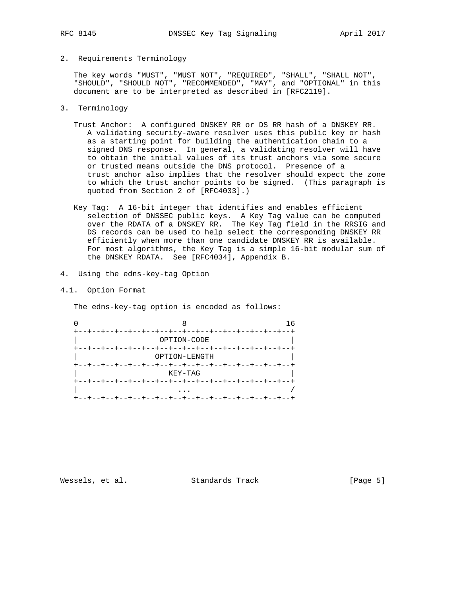## 2. Requirements Terminology

 The key words "MUST", "MUST NOT", "REQUIRED", "SHALL", "SHALL NOT", "SHOULD", "SHOULD NOT", "RECOMMENDED", "MAY", and "OPTIONAL" in this document are to be interpreted as described in [RFC2119].

- 3. Terminology
	- Trust Anchor: A configured DNSKEY RR or DS RR hash of a DNSKEY RR. A validating security-aware resolver uses this public key or hash as a starting point for building the authentication chain to a signed DNS response. In general, a validating resolver will have to obtain the initial values of its trust anchors via some secure or trusted means outside the DNS protocol. Presence of a trust anchor also implies that the resolver should expect the zone to which the trust anchor points to be signed. (This paragraph is quoted from Section 2 of [RFC4033].)
	- Key Tag: A 16-bit integer that identifies and enables efficient selection of DNSSEC public keys. A Key Tag value can be computed over the RDATA of a DNSKEY RR. The Key Tag field in the RRSIG and DS records can be used to help select the corresponding DNSKEY RR efficiently when more than one candidate DNSKEY RR is available. For most algorithms, the Key Tag is a simple 16-bit modular sum of the DNSKEY RDATA. See [RFC4034], Appendix B.
- 4. Using the edns-key-tag Option
- 4.1. Option Format

The edns-key-tag option is encoded as follows:

| $+ - - + - - + - - +$ |                                       |                 |
|-----------------------|---------------------------------------|-----------------|
|                       | OPTION-CODE                           |                 |
|                       | --+--+--+--+--+--+--+--+--+--+--+--+- |                 |
|                       | OPTION-LENGTH                         |                 |
|                       |                                       |                 |
|                       | KEY-TAG                               |                 |
| $+ - - + - - + - - +$ | --+--+--+--+--+--+--+                 | --+--+--+--+--+ |
|                       |                                       |                 |
|                       |                                       |                 |

Wessels, et al. Standards Track [Page 5]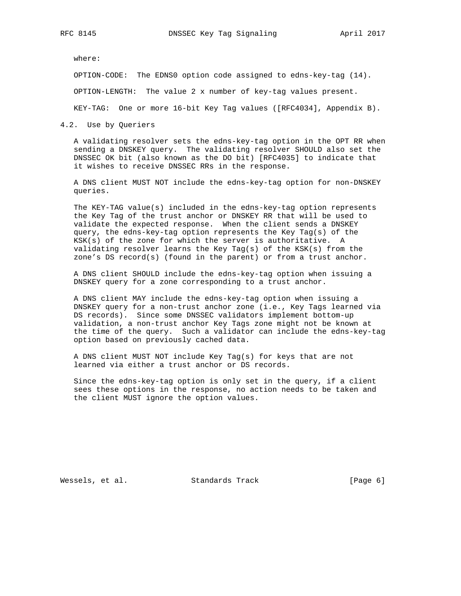where:

OPTION-CODE: The EDNS0 option code assigned to edns-key-tag (14).

OPTION-LENGTH: The value 2 x number of key-tag values present.

KEY-TAG: One or more 16-bit Key Tag values ([RFC4034], Appendix B).

4.2. Use by Queriers

 A validating resolver sets the edns-key-tag option in the OPT RR when sending a DNSKEY query. The validating resolver SHOULD also set the DNSSEC OK bit (also known as the DO bit) [RFC4035] to indicate that it wishes to receive DNSSEC RRs in the response.

 A DNS client MUST NOT include the edns-key-tag option for non-DNSKEY queries.

 The KEY-TAG value(s) included in the edns-key-tag option represents the Key Tag of the trust anchor or DNSKEY RR that will be used to validate the expected response. When the client sends a DNSKEY query, the edns-key-tag option represents the Key Tag(s) of the KSK(s) of the zone for which the server is authoritative. A validating resolver learns the Key Tag(s) of the KSK(s) from the zone's DS record(s) (found in the parent) or from a trust anchor.

 A DNS client SHOULD include the edns-key-tag option when issuing a DNSKEY query for a zone corresponding to a trust anchor.

 A DNS client MAY include the edns-key-tag option when issuing a DNSKEY query for a non-trust anchor zone (i.e., Key Tags learned via DS records). Since some DNSSEC validators implement bottom-up validation, a non-trust anchor Key Tags zone might not be known at the time of the query. Such a validator can include the edns-key-tag option based on previously cached data.

 A DNS client MUST NOT include Key Tag(s) for keys that are not learned via either a trust anchor or DS records.

 Since the edns-key-tag option is only set in the query, if a client sees these options in the response, no action needs to be taken and the client MUST ignore the option values.

Wessels, et al. Standards Track [Page 6]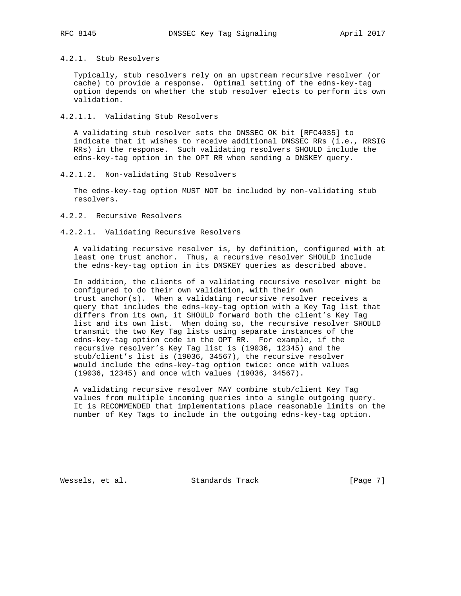4.2.1. Stub Resolvers

 Typically, stub resolvers rely on an upstream recursive resolver (or cache) to provide a response. Optimal setting of the edns-key-tag option depends on whether the stub resolver elects to perform its own validation.

#### 4.2.1.1. Validating Stub Resolvers

 A validating stub resolver sets the DNSSEC OK bit [RFC4035] to indicate that it wishes to receive additional DNSSEC RRs (i.e., RRSIG RRs) in the response. Such validating resolvers SHOULD include the edns-key-tag option in the OPT RR when sending a DNSKEY query.

4.2.1.2. Non-validating Stub Resolvers

 The edns-key-tag option MUST NOT be included by non-validating stub resolvers.

#### 4.2.2. Recursive Resolvers

## 4.2.2.1. Validating Recursive Resolvers

 A validating recursive resolver is, by definition, configured with at least one trust anchor. Thus, a recursive resolver SHOULD include the edns-key-tag option in its DNSKEY queries as described above.

 In addition, the clients of a validating recursive resolver might be configured to do their own validation, with their own trust anchor(s). When a validating recursive resolver receives a query that includes the edns-key-tag option with a Key Tag list that differs from its own, it SHOULD forward both the client's Key Tag list and its own list. When doing so, the recursive resolver SHOULD transmit the two Key Tag lists using separate instances of the edns-key-tag option code in the OPT RR. For example, if the recursive resolver's Key Tag list is (19036, 12345) and the stub/client's list is (19036, 34567), the recursive resolver would include the edns-key-tag option twice: once with values (19036, 12345) and once with values (19036, 34567).

 A validating recursive resolver MAY combine stub/client Key Tag values from multiple incoming queries into a single outgoing query. It is RECOMMENDED that implementations place reasonable limits on the number of Key Tags to include in the outgoing edns-key-tag option.

Wessels, et al. Standards Track [Page 7]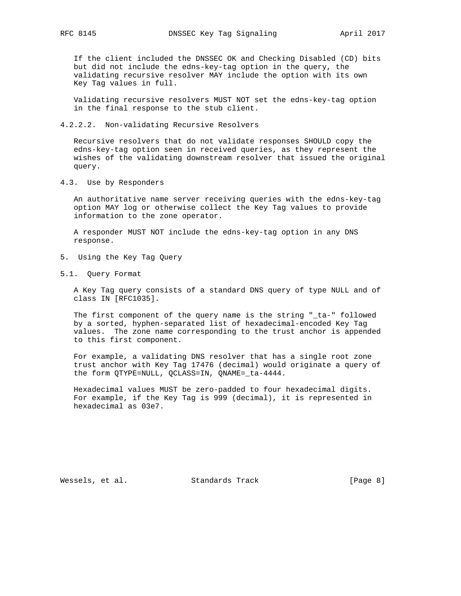If the client included the DNSSEC OK and Checking Disabled (CD) bits but did not include the edns-key-tag option in the query, the validating recursive resolver MAY include the option with its own Key Tag values in full.

 Validating recursive resolvers MUST NOT set the edns-key-tag option in the final response to the stub client.

4.2.2.2. Non-validating Recursive Resolvers

 Recursive resolvers that do not validate responses SHOULD copy the edns-key-tag option seen in received queries, as they represent the wishes of the validating downstream resolver that issued the original query.

4.3. Use by Responders

 An authoritative name server receiving queries with the edns-key-tag option MAY log or otherwise collect the Key Tag values to provide information to the zone operator.

 A responder MUST NOT include the edns-key-tag option in any DNS response.

- 5. Using the Key Tag Query
- 5.1. Query Format

 A Key Tag query consists of a standard DNS query of type NULL and of class IN [RFC1035].

 The first component of the query name is the string "\_ta-" followed by a sorted, hyphen-separated list of hexadecimal-encoded Key Tag values. The zone name corresponding to the trust anchor is appended to this first component.

 For example, a validating DNS resolver that has a single root zone trust anchor with Key Tag 17476 (decimal) would originate a query of the form QTYPE=NULL, QCLASS=IN, QNAME=\_ta-4444.

 Hexadecimal values MUST be zero-padded to four hexadecimal digits. For example, if the Key Tag is 999 (decimal), it is represented in hexadecimal as 03e7.

Wessels, et al. Standards Track [Page 8]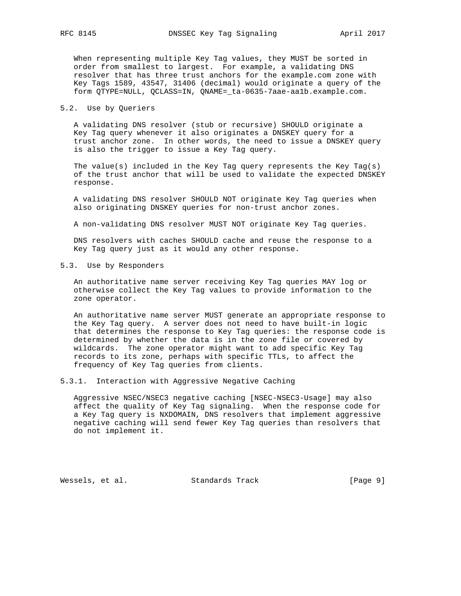When representing multiple Key Tag values, they MUST be sorted in order from smallest to largest. For example, a validating DNS resolver that has three trust anchors for the example.com zone with Key Tags 1589, 43547, 31406 (decimal) would originate a query of the form QTYPE=NULL, QCLASS=IN, QNAME=\_ta-0635-7aae-aa1b.example.com.

#### 5.2. Use by Queriers

 A validating DNS resolver (stub or recursive) SHOULD originate a Key Tag query whenever it also originates a DNSKEY query for a trust anchor zone. In other words, the need to issue a DNSKEY query is also the trigger to issue a Key Tag query.

The value(s) included in the Key Tag query represents the Key Tag(s) of the trust anchor that will be used to validate the expected DNSKEY response.

 A validating DNS resolver SHOULD NOT originate Key Tag queries when also originating DNSKEY queries for non-trust anchor zones.

A non-validating DNS resolver MUST NOT originate Key Tag queries.

 DNS resolvers with caches SHOULD cache and reuse the response to a Key Tag query just as it would any other response.

#### 5.3. Use by Responders

 An authoritative name server receiving Key Tag queries MAY log or otherwise collect the Key Tag values to provide information to the zone operator.

 An authoritative name server MUST generate an appropriate response to the Key Tag query. A server does not need to have built-in logic that determines the response to Key Tag queries: the response code is determined by whether the data is in the zone file or covered by wildcards. The zone operator might want to add specific Key Tag records to its zone, perhaps with specific TTLs, to affect the frequency of Key Tag queries from clients.

5.3.1. Interaction with Aggressive Negative Caching

 Aggressive NSEC/NSEC3 negative caching [NSEC-NSEC3-Usage] may also affect the quality of Key Tag signaling. When the response code for a Key Tag query is NXDOMAIN, DNS resolvers that implement aggressive negative caching will send fewer Key Tag queries than resolvers that do not implement it.

Wessels, et al. Standards Track [Page 9]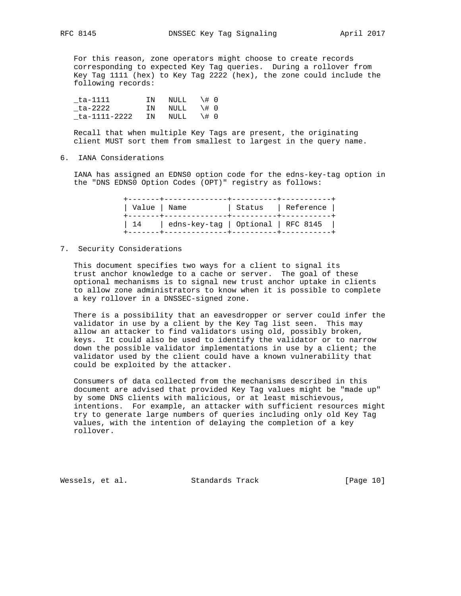For this reason, zone operators might choose to create records corresponding to expected Key Tag queries. During a rollover from Key Tag 1111 (hex) to Key Tag 2222 (hex), the zone could include the following records:

 \_ta-1111 IN NULL \# 0 \_ta-2222 IN NULL \# 0  $_t$  ta-1111-2222 IN NULL  $\# 0$ 

 Recall that when multiple Key Tags are present, the originating client MUST sort them from smallest to largest in the query name.

## 6. IANA Considerations

 IANA has assigned an EDNS0 option code for the edns-key-tag option in the "DNS EDNS0 Option Codes (OPT)" registry as follows:

|     | Value   Name                       | Status   Reference |  |
|-----|------------------------------------|--------------------|--|
| 114 | edns-key-tag   Optional   RFC 8145 |                    |  |

## 7. Security Considerations

 This document specifies two ways for a client to signal its trust anchor knowledge to a cache or server. The goal of these optional mechanisms is to signal new trust anchor uptake in clients to allow zone administrators to know when it is possible to complete a key rollover in a DNSSEC-signed zone.

 There is a possibility that an eavesdropper or server could infer the validator in use by a client by the Key Tag list seen. This may allow an attacker to find validators using old, possibly broken, keys. It could also be used to identify the validator or to narrow down the possible validator implementations in use by a client; the validator used by the client could have a known vulnerability that could be exploited by the attacker.

 Consumers of data collected from the mechanisms described in this document are advised that provided Key Tag values might be "made up" by some DNS clients with malicious, or at least mischievous, intentions. For example, an attacker with sufficient resources might try to generate large numbers of queries including only old Key Tag values, with the intention of delaying the completion of a key rollover.

Wessels, et al. Standards Track [Page 10]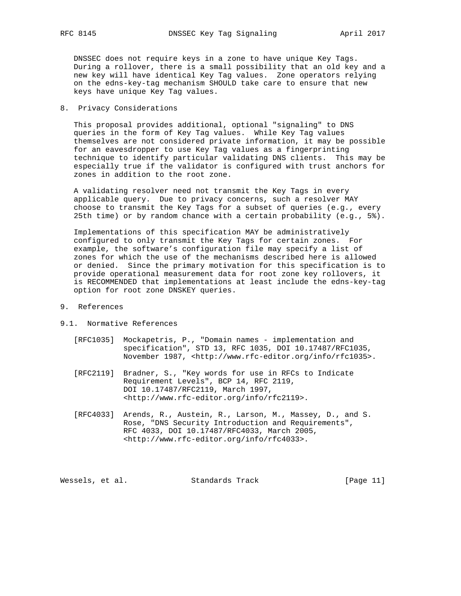DNSSEC does not require keys in a zone to have unique Key Tags. During a rollover, there is a small possibility that an old key and a new key will have identical Key Tag values. Zone operators relying on the edns-key-tag mechanism SHOULD take care to ensure that new keys have unique Key Tag values.

## 8. Privacy Considerations

 This proposal provides additional, optional "signaling" to DNS queries in the form of Key Tag values. While Key Tag values themselves are not considered private information, it may be possible for an eavesdropper to use Key Tag values as a fingerprinting technique to identify particular validating DNS clients. This may be especially true if the validator is configured with trust anchors for zones in addition to the root zone.

 A validating resolver need not transmit the Key Tags in every applicable query. Due to privacy concerns, such a resolver MAY choose to transmit the Key Tags for a subset of queries (e.g., every 25th time) or by random chance with a certain probability (e.g., 5%).

 Implementations of this specification MAY be administratively configured to only transmit the Key Tags for certain zones. For example, the software's configuration file may specify a list of zones for which the use of the mechanisms described here is allowed or denied. Since the primary motivation for this specification is to provide operational measurement data for root zone key rollovers, it is RECOMMENDED that implementations at least include the edns-key-tag option for root zone DNSKEY queries.

- 9. References
- 9.1. Normative References
	- [RFC1035] Mockapetris, P., "Domain names implementation and specification", STD 13, RFC 1035, DOI 10.17487/RFC1035, November 1987, <http://www.rfc-editor.org/info/rfc1035>.
	- [RFC2119] Bradner, S., "Key words for use in RFCs to Indicate Requirement Levels", BCP 14, RFC 2119, DOI 10.17487/RFC2119, March 1997, <http://www.rfc-editor.org/info/rfc2119>.
	- [RFC4033] Arends, R., Austein, R., Larson, M., Massey, D., and S. Rose, "DNS Security Introduction and Requirements", RFC 4033, DOI 10.17487/RFC4033, March 2005, <http://www.rfc-editor.org/info/rfc4033>.

Wessels, et al. Standards Track [Page 11]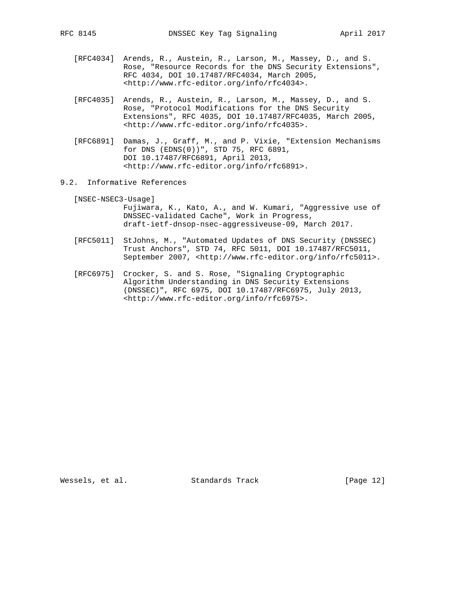- [RFC4034] Arends, R., Austein, R., Larson, M., Massey, D., and S. Rose, "Resource Records for the DNS Security Extensions", RFC 4034, DOI 10.17487/RFC4034, March 2005, <http://www.rfc-editor.org/info/rfc4034>.
- [RFC4035] Arends, R., Austein, R., Larson, M., Massey, D., and S. Rose, "Protocol Modifications for the DNS Security Extensions", RFC 4035, DOI 10.17487/RFC4035, March 2005, <http://www.rfc-editor.org/info/rfc4035>.
- [RFC6891] Damas, J., Graff, M., and P. Vixie, "Extension Mechanisms for DNS (EDNS(0))", STD 75, RFC 6891, DOI 10.17487/RFC6891, April 2013, <http://www.rfc-editor.org/info/rfc6891>.
- 9.2. Informative References

 [NSEC-NSEC3-Usage] Fujiwara, K., Kato, A., and W. Kumari, "Aggressive use of DNSSEC-validated Cache", Work in Progress, draft-ietf-dnsop-nsec-aggressiveuse-09, March 2017.

- [RFC5011] StJohns, M., "Automated Updates of DNS Security (DNSSEC) Trust Anchors", STD 74, RFC 5011, DOI 10.17487/RFC5011, September 2007, <http://www.rfc-editor.org/info/rfc5011>.
- [RFC6975] Crocker, S. and S. Rose, "Signaling Cryptographic Algorithm Understanding in DNS Security Extensions (DNSSEC)", RFC 6975, DOI 10.17487/RFC6975, July 2013, <http://www.rfc-editor.org/info/rfc6975>.

Wessels, et al. Standards Track [Page 12]